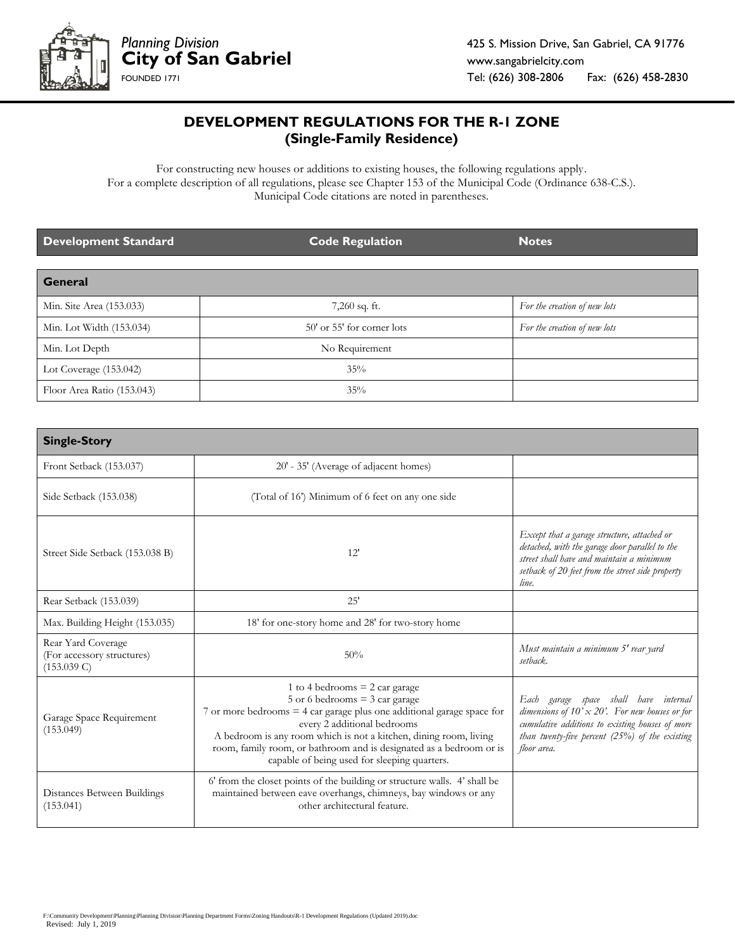

## **DEVELOPMENT REGULATIONS FOR THE R-1 ZONE (Single-Family Residence)**

For constructing new houses or additions to existing houses, the following regulations apply. For a complete description of all regulations, please see Chapter 153 of the Municipal Code (Ordinance 638-C.S.). Municipal Code citations are noted in parentheses.

| Development Standard       | <b>Code Regulation</b>     | <b>Notes</b>                 |
|----------------------------|----------------------------|------------------------------|
| <b>General</b>             |                            |                              |
| Min. Site Area (153.033)   | $7,260$ sq. ft.            | For the creation of new lots |
| Min. Lot Width (153.034)   | 50' or 55' for corner lots | For the creation of new lots |
| Min. Lot Depth             | No Requirement             |                              |
| Lot Coverage $(153.042)$   | 35%                        |                              |
| Floor Area Ratio (153.043) | 35%                        |                              |

| <b>Single-Story</b>                                             |                                                                                                                                                                                                                                                                                                                                                                             |                                                                                                                                                                                                                        |  |  |
|-----------------------------------------------------------------|-----------------------------------------------------------------------------------------------------------------------------------------------------------------------------------------------------------------------------------------------------------------------------------------------------------------------------------------------------------------------------|------------------------------------------------------------------------------------------------------------------------------------------------------------------------------------------------------------------------|--|--|
| Front Setback (153.037)                                         | 20' - 35' (Average of adjacent homes)                                                                                                                                                                                                                                                                                                                                       |                                                                                                                                                                                                                        |  |  |
| Side Setback (153.038)                                          | (Total of 16') Minimum of 6 feet on any one side                                                                                                                                                                                                                                                                                                                            |                                                                                                                                                                                                                        |  |  |
| Street Side Setback (153.038 B)                                 | 12'                                                                                                                                                                                                                                                                                                                                                                         | Except that a garage structure, attached or<br>detached, with the garage door parallel to the<br>street shall have and maintain a minimum<br>setback of 20 feet from the street side property<br>line.                 |  |  |
| Rear Setback (153.039)                                          | 25'                                                                                                                                                                                                                                                                                                                                                                         |                                                                                                                                                                                                                        |  |  |
| Max. Building Height (153.035)                                  | 18' for one-story home and 28' for two-story home                                                                                                                                                                                                                                                                                                                           |                                                                                                                                                                                                                        |  |  |
| Rear Yard Coverage<br>(For accessory structures)<br>(153.039 C) | 50%                                                                                                                                                                                                                                                                                                                                                                         | Must maintain a minimum 5' rear yard<br>setback.                                                                                                                                                                       |  |  |
| Garage Space Requirement<br>(153.049)                           | 1 to 4 bedrooms $= 2$ car garage<br>5 or 6 bedrooms $=$ 3 car garage<br>7 or more bedrooms $=$ 4 car garage plus one additional garage space for<br>every 2 additional bedrooms<br>A bedroom is any room which is not a kitchen, dining room, living<br>room, family room, or bathroom and is designated as a bedroom or is<br>capable of being used for sleeping quarters. | Each garage space shall have internal<br>dimensions of $10' \times 20'$ . For new houses or for<br>cumulative additions to existing houses of more<br>than twenty-five percent $(25\%)$ of the existing<br>floor area. |  |  |
| Distances Between Buildings<br>(153.041)                        | 6' from the closet points of the building or structure walls. 4' shall be<br>maintained between eave overhangs, chimneys, bay windows or any<br>other architectural feature.                                                                                                                                                                                                |                                                                                                                                                                                                                        |  |  |